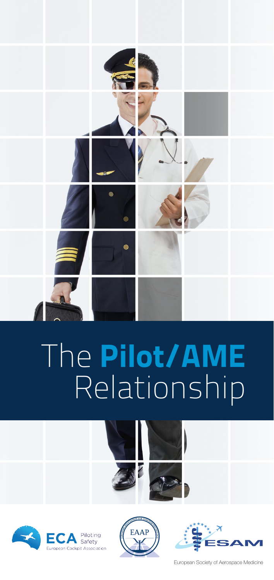

# The Pilot/AME Relationship









European Society of Aerospace Medicine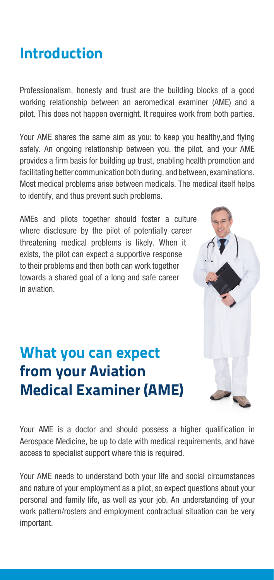## Introduction

Professionalism, honesty and trust are the building blocks of a good working relationship between an aeromedical examiner (AME) and a pilot. This does not happen overnight. It requires work from both parties.

Your AME shares the same aim as you: to keep you healthy,and flying safely. An ongoing relationship between you, the pilot, and your AME provides a firm basis for building up trust, enabling health promotion and facilitating better communication both during, and between, examinations. Most medical problems arise between medicals. The medical itself helps to identify, and thus prevent such problems.

AMEs and pilots together should foster a culture where disclosure by the pilot of potentially career threatening medical problems is likely. When it exists, the pilot can expect a supportive response to their problems and then both can work together towards a shared goal of a long and safe career in aviation.

## What you can expect from your Aviation Medical Examiner (AME)



Your AME is a doctor and should possess a higher qualification in Aerospace Medicine, be up to date with medical requirements, and have access to specialist support where this is required.

Your AME needs to understand both your life and social circumstances and nature of your employment as a pilot, so expect questions about your personal and family life, as well as your job. An understanding of your work pattern/rosters and employment contractual situation can be very important.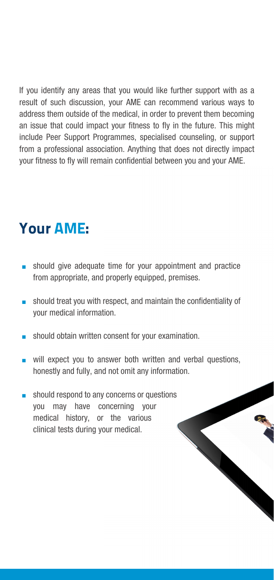If you identify any areas that you would like further support with as a result of such discussion, your AME can recommend various ways to address them outside of the medical, in order to prevent them becoming an issue that could impact your fitness to fly in the future. This might include Peer Support Programmes, specialised counseling, or support from a professional association. Anything that does not directly impact your fitness to fly will remain confidential between you and your AME.

#### Your AME:

- $\blacksquare$  should give adequate time for your appointment and practice from appropriate, and properly equipped, premises.
- should treat you with respect, and maintain the confidentiality of your medical information.
- should obtain written consent for your examination.
- $\blacksquare$  will expect you to answer both written and verbal questions, honestly and fully, and not omit any information.
- $\Box$  should respond to any concerns or questions you may have concerning your medical history, or the various clinical tests during your medical.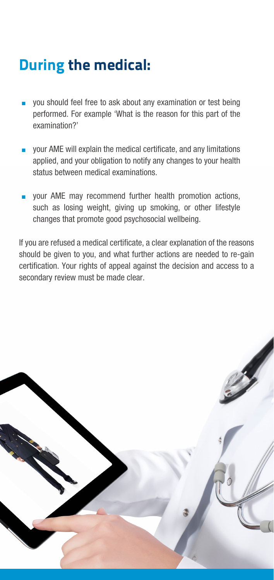# During the medical:

- <sup>n</sup> you should feel free to ask about any examination or test being performed. For example 'What is the reason for this part of the examination?'
- your AME will explain the medical certificate, and any limitations applied, and your obligation to notify any changes to your health status between medical examinations.
- your AME may recommend further health promotion actions, such as losing weight, giving up smoking, or other lifestyle changes that promote good psychosocial wellbeing.

If you are refused a medical certificate, a clear explanation of the reasons should be given to you, and what further actions are needed to re-gain certification. Your rights of appeal against the decision and access to a secondary review must be made clear.

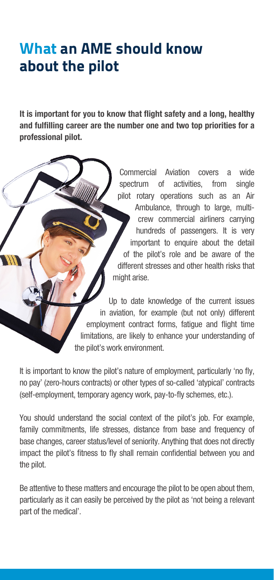## What an AME should know about the pilot

It is important for you to know that flight safety and a long, healthy and fulfilling career are the number one and two top priorities for a professional pilot.

> Commercial Aviation covers a wide spectrum of activities, from single pilot rotary operations such as an Air Ambulance, through to large, multicrew commercial airliners carrying hundreds of passengers. It is very important to enquire about the detail of the pilot's role and be aware of the different stresses and other health risks that might arise.

Up to date knowledge of the current issues in aviation, for example (but not only) different employment contract forms, fatigue and flight time limitations, are likely to enhance your understanding of the pilot's work environment.

It is important to know the pilot's nature of employment, particularly 'no fly, no pay' (zero-hours contracts) or other types of so-called 'atypical' contracts (self-employment, temporary agency work, pay-to-fly schemes, etc.).

You should understand the social context of the pilot's job. For example, family commitments, life stresses, distance from base and frequency of base changes, career status/level of seniority. Anything that does not directly impact the pilot's fitness to fly shall remain confidential between you and the pilot.

Be attentive to these matters and encourage the pilot to be open about them, particularly as it can easily be perceived by the pilot as 'not being a relevant part of the medical'.